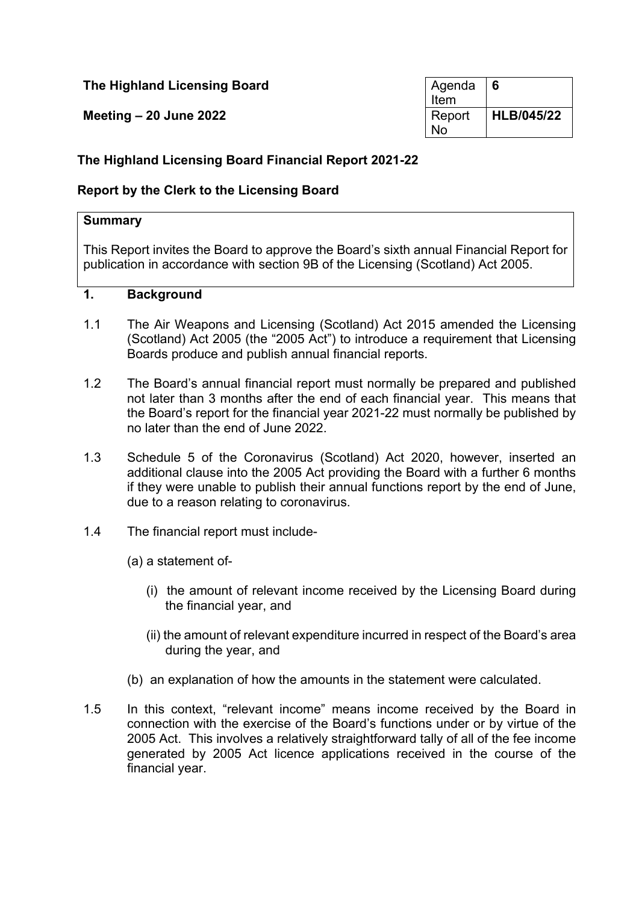# **The Highland Licensing Board**

**Meeting – 20 June 2022** 

| Agenda | 6                 |
|--------|-------------------|
| Item   |                   |
| Report | <b>HLB/045/22</b> |
| N٥     |                   |

# **The Highland Licensing Board Financial Report 2021-22**

# **Report by the Clerk to the Licensing Board**

## **Summary**

This Report invites the Board to approve the Board's sixth annual Financial Report for publication in accordance with section 9B of the Licensing (Scotland) Act 2005.

### **1. Background**

- 1.1 The Air Weapons and Licensing (Scotland) Act 2015 amended the Licensing (Scotland) Act 2005 (the "2005 Act") to introduce a requirement that Licensing Boards produce and publish annual financial reports.
- 1.2 The Board's annual financial report must normally be prepared and published not later than 3 months after the end of each financial year. This means that the Board's report for the financial year 2021-22 must normally be published by no later than the end of June 2022.
- 1.3 Schedule 5 of the Coronavirus (Scotland) Act 2020, however, inserted an additional clause into the 2005 Act providing the Board with a further 6 months if they were unable to publish their annual functions report by the end of June, due to a reason relating to coronavirus.
- 1.4 The financial report must include-
	- (a) a statement of-
		- (i) the amount of relevant income received by the Licensing Board during the financial year, and
		- (ii) the amount of relevant expenditure incurred in respect of the Board's area during the year, and
	- (b) an explanation of how the amounts in the statement were calculated.
- 1.5 In this context, "relevant income" means income received by the Board in connection with the exercise of the Board's functions under or by virtue of the 2005 Act. This involves a relatively straightforward tally of all of the fee income generated by 2005 Act licence applications received in the course of the financial year.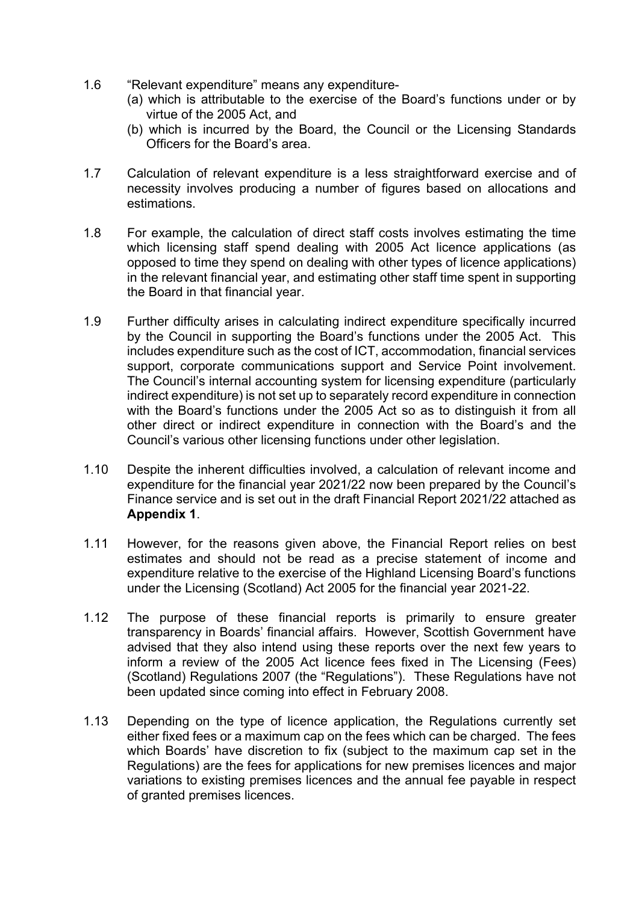- 1.6 "Relevant expenditure" means any expenditure-
	- (a) which is attributable to the exercise of the Board's functions under or by virtue of the 2005 Act, and
	- (b) which is incurred by the Board, the Council or the Licensing Standards Officers for the Board's area.
- 1.7 Calculation of relevant expenditure is a less straightforward exercise and of necessity involves producing a number of figures based on allocations and estimations.
- 1.8 For example, the calculation of direct staff costs involves estimating the time which licensing staff spend dealing with 2005 Act licence applications (as opposed to time they spend on dealing with other types of licence applications) in the relevant financial year, and estimating other staff time spent in supporting the Board in that financial year.
- 1.9 Further difficulty arises in calculating indirect expenditure specifically incurred by the Council in supporting the Board's functions under the 2005 Act. This includes expenditure such as the cost of ICT, accommodation, financial services support, corporate communications support and Service Point involvement. The Council's internal accounting system for licensing expenditure (particularly indirect expenditure) is not set up to separately record expenditure in connection with the Board's functions under the 2005 Act so as to distinguish it from all other direct or indirect expenditure in connection with the Board's and the Council's various other licensing functions under other legislation.
- 1.10 Despite the inherent difficulties involved, a calculation of relevant income and expenditure for the financial year 2021/22 now been prepared by the Council's Finance service and is set out in the draft Financial Report 2021/22 attached as **Appendix 1**.
- 1.11 However, for the reasons given above, the Financial Report relies on best estimates and should not be read as a precise statement of income and expenditure relative to the exercise of the Highland Licensing Board's functions under the Licensing (Scotland) Act 2005 for the financial year 2021-22.
- 1.12 The purpose of these financial reports is primarily to ensure greater transparency in Boards' financial affairs. However, Scottish Government have advised that they also intend using these reports over the next few years to inform a review of the 2005 Act licence fees fixed in The Licensing (Fees) (Scotland) Regulations 2007 (the "Regulations"). These Regulations have not been updated since coming into effect in February 2008.
- 1.13 Depending on the type of licence application, the Regulations currently set either fixed fees or a maximum cap on the fees which can be charged. The fees which Boards' have discretion to fix (subject to the maximum cap set in the Regulations) are the fees for applications for new premises licences and major variations to existing premises licences and the annual fee payable in respect of granted premises licences.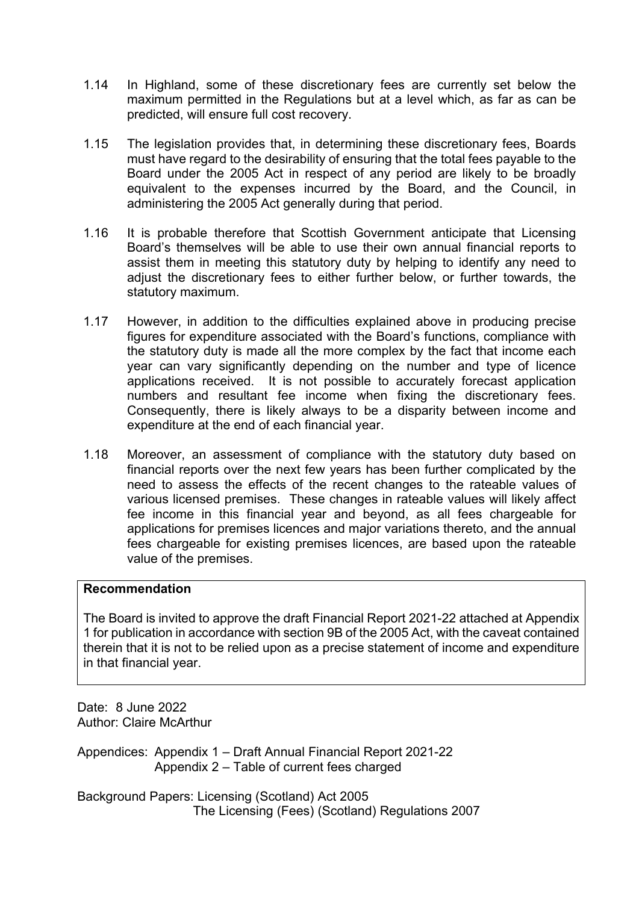- 1.14 In Highland, some of these discretionary fees are currently set below the maximum permitted in the Regulations but at a level which, as far as can be predicted, will ensure full cost recovery.
- 1.15 The legislation provides that, in determining these discretionary fees, Boards must have regard to the desirability of ensuring that the total fees payable to the Board under the 2005 Act in respect of any period are likely to be broadly equivalent to the expenses incurred by the Board, and the Council, in administering the 2005 Act generally during that period.
- 1.16 It is probable therefore that Scottish Government anticipate that Licensing Board's themselves will be able to use their own annual financial reports to assist them in meeting this statutory duty by helping to identify any need to adjust the discretionary fees to either further below, or further towards, the statutory maximum.
- 1.17 However, in addition to the difficulties explained above in producing precise figures for expenditure associated with the Board's functions, compliance with the statutory duty is made all the more complex by the fact that income each year can vary significantly depending on the number and type of licence applications received. It is not possible to accurately forecast application numbers and resultant fee income when fixing the discretionary fees. Consequently, there is likely always to be a disparity between income and expenditure at the end of each financial year.
- 1.18 Moreover, an assessment of compliance with the statutory duty based on financial reports over the next few years has been further complicated by the need to assess the effects of the recent changes to the rateable values of various licensed premises. These changes in rateable values will likely affect fee income in this financial year and beyond, as all fees chargeable for applications for premises licences and major variations thereto, and the annual fees chargeable for existing premises licences, are based upon the rateable value of the premises.

## **Recommendation**

The Board is invited to approve the draft Financial Report 2021-22 attached at Appendix 1 for publication in accordance with section 9B of the 2005 Act, with the caveat contained therein that it is not to be relied upon as a precise statement of income and expenditure in that financial year.

Date: 8 June 2022 Author: Claire McArthur

Appendices: Appendix 1 – Draft Annual Financial Report 2021-22 Appendix 2 – Table of current fees charged

Background Papers: Licensing (Scotland) Act 2005 The Licensing (Fees) (Scotland) Regulations 2007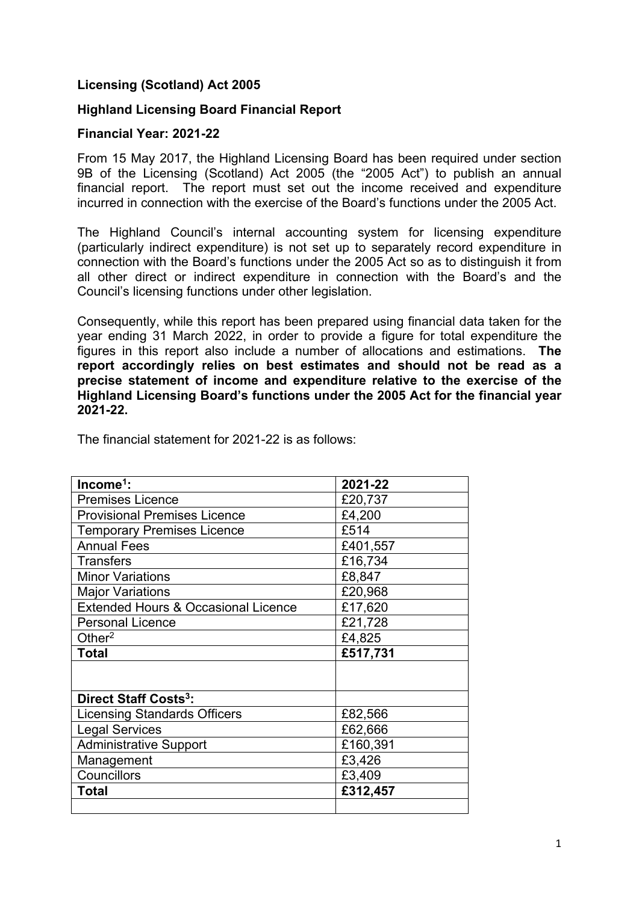## **Licensing (Scotland) Act 2005**

## **Highland Licensing Board Financial Report**

### **Financial Year: 2021-22**

From 15 May 2017, the Highland Licensing Board has been required under section 9B of the Licensing (Scotland) Act 2005 (the "2005 Act") to publish an annual financial report. The report must set out the income received and expenditure incurred in connection with the exercise of the Board's functions under the 2005 Act.

The Highland Council's internal accounting system for licensing expenditure (particularly indirect expenditure) is not set up to separately record expenditure in connection with the Board's functions under the 2005 Act so as to distinguish it from all other direct or indirect expenditure in connection with the Board's and the Council's licensing functions under other legislation.

Consequently, while this report has been prepared using financial data taken for the year ending 31 March 2022, in order to provide a figure for total expenditure the figures in this report also include a number of allocations and estimations. **The report accordingly relies on best estimates and should not be read as a precise statement of income and expenditure relative to the exercise of the Highland Licensing Board's functions under the 2005 Act for the financial year 2021-22.**

|  | The financial statement for 2021-22 is as follows: |  |  |
|--|----------------------------------------------------|--|--|
|--|----------------------------------------------------|--|--|

| $Income1$ :                                    | 2021-22  |
|------------------------------------------------|----------|
| <b>Premises Licence</b>                        | £20,737  |
| <b>Provisional Premises Licence</b>            | £4,200   |
| <b>Temporary Premises Licence</b>              | £514     |
| <b>Annual Fees</b>                             | £401,557 |
| <b>Transfers</b>                               | £16,734  |
| <b>Minor Variations</b>                        | £8,847   |
| <b>Major Variations</b>                        | £20,968  |
| <b>Extended Hours &amp; Occasional Licence</b> | £17,620  |
| <b>Personal Licence</b>                        | £21,728  |
| Other $2$                                      | £4,825   |
| <b>Total</b>                                   | £517,731 |
|                                                |          |
|                                                |          |
| Direct Staff Costs <sup>3</sup> :              |          |
| <b>Licensing Standards Officers</b>            | £82,566  |
| <b>Legal Services</b>                          | £62,666  |
| <b>Administrative Support</b>                  |          |
|                                                | £160,391 |
| Management                                     | £3,426   |
| Councillors                                    | £3,409   |
| Total                                          | £312,457 |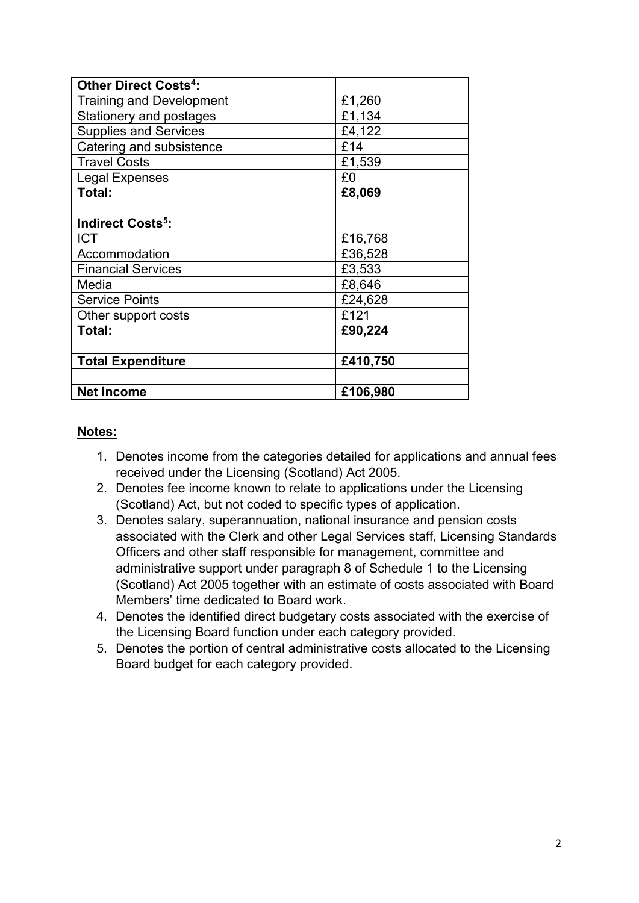| <b>Other Direct Costs<sup>4</sup>:</b> |          |
|----------------------------------------|----------|
| <b>Training and Development</b>        | £1,260   |
| Stationery and postages                | £1,134   |
| <b>Supplies and Services</b>           | £4,122   |
| Catering and subsistence               | £14      |
| <b>Travel Costs</b>                    | £1,539   |
| <b>Legal Expenses</b>                  | £0       |
| Total:                                 | £8,069   |
|                                        |          |
| <b>Indirect Costs<sup>5</sup>:</b>     |          |
| <b>ICT</b>                             | £16,768  |
| Accommodation                          | £36,528  |
| <b>Financial Services</b>              | £3,533   |
| Media                                  | £8,646   |
| <b>Service Points</b>                  | £24,628  |
| Other support costs                    | £121     |
| Total:                                 | £90,224  |
|                                        |          |
| <b>Total Expenditure</b>               | £410,750 |
|                                        |          |
| <b>Net Income</b>                      | £106,980 |

## **Notes:**

- 1. Denotes income from the categories detailed for applications and annual fees received under the Licensing (Scotland) Act 2005.
- 2. Denotes fee income known to relate to applications under the Licensing (Scotland) Act, but not coded to specific types of application.
- 3. Denotes salary, superannuation, national insurance and pension costs associated with the Clerk and other Legal Services staff, Licensing Standards Officers and other staff responsible for management, committee and administrative support under paragraph 8 of Schedule 1 to the Licensing (Scotland) Act 2005 together with an estimate of costs associated with Board Members' time dedicated to Board work.
- 4. Denotes the identified direct budgetary costs associated with the exercise of the Licensing Board function under each category provided.
- 5. Denotes the portion of central administrative costs allocated to the Licensing Board budget for each category provided.